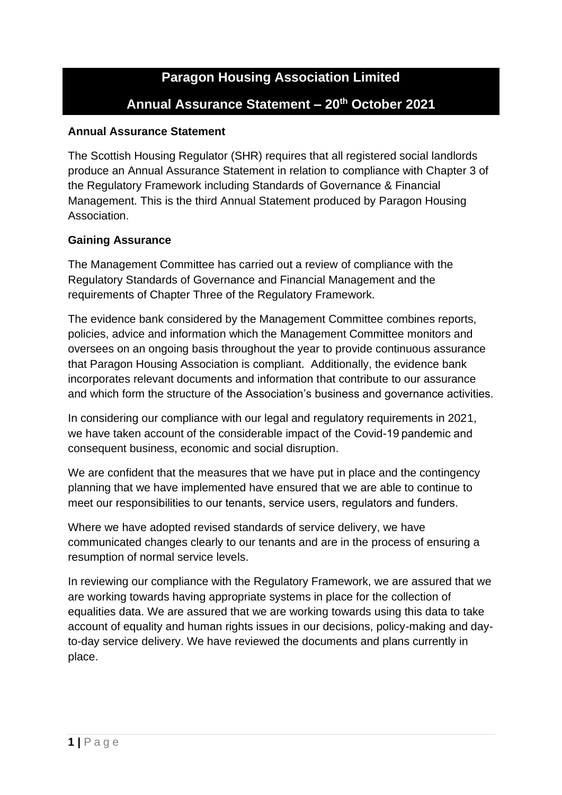## **Paragon Housing Association Limited Annual Assurance Statement – 20th October 2021**

## **Annual Assurance Statement**

The Scottish Housing Regulator (SHR) requires that all registered social landlords produce an Annual Assurance Statement in relation to compliance with Chapter 3 of the Regulatory Framework including Standards of Governance & Financial Management. This is the third Annual Statement produced by Paragon Housing Association.

## **Gaining Assurance**

The Management Committee has carried out a review of compliance with the Regulatory Standards of Governance and Financial Management and the requirements of Chapter Three of the Regulatory Framework.

The evidence bank considered by the Management Committee combines reports, policies, advice and information which the Management Committee monitors and oversees on an ongoing basis throughout the year to provide continuous assurance that Paragon Housing Association is compliant. Additionally, the evidence bank incorporates relevant documents and information that contribute to our assurance and which form the structure of the Association's business and governance activities.

In considering our compliance with our legal and regulatory requirements in 2021, we have taken account of the considerable impact of the Covid-19 pandemic and consequent business, economic and social disruption.

We are confident that the measures that we have put in place and the contingency planning that we have implemented have ensured that we are able to continue to meet our responsibilities to our tenants, service users, regulators and funders. 

Where we have adopted revised standards of service delivery, we have communicated changes clearly to our tenants and are in the process of ensuring a resumption of normal service levels.

In reviewing our compliance with the Regulatory Framework, we are assured that we are working towards having appropriate systems in place for the collection of equalities data. We are assured that we are working towards using this data to take account of equality and human rights issues in our decisions, policy-making and dayto-day service delivery. We have reviewed the documents and plans currently in place.